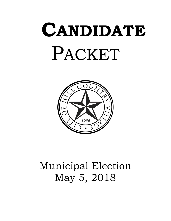# **CANDIDATE**  PACKET



# Municipal Election May 5, 2018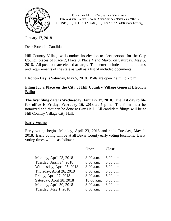

**CITY OF HILL COUNTRY VILLAGE 116 ASPEN LANE • SAN ANTONIO • TEXAS • 78232 PHONE** (210) 494-3671 **• FAX** (210) 490-8645 **• WEB** www.hcv.org

January 17, 2018

Dear Potential Candidate:

Hill Country Village will conduct its election to elect persons for the City Council places of Place 2, Place 3, Place 4 and Mayor on Saturday, May 5, 2018. All positions are elected at-large. This letter includes important dates and requirements of the state as well as a list of included documents.

**Election Day** is Saturday, May 5, 2018. Polls are open 7 a.m. to 7 p.m.

# **Filing for a Place on the City of Hill Country Village General Election Ballot**

**The first filing date is Wednesday, January 17, 2018. The last day to file for office is Friday, February 16, 2018 at 5 p.m.** The form must be notarized and that can be done at City Hall. All candidate filings will be at Hill Country Village City Hall.

# **Early Voting**

Early voting begins Monday, April 23, 2018 and ends Tuesday, May 1, 2018. Early voting will be at all Bexar County early voting locations. Early voting times will be as follows:

| Open        | <b>Close</b> |
|-------------|--------------|
|             |              |
|             | $6:00$ p.m.  |
| 8:00 a.m.   | $6:00$ p.m.  |
| 8:00 a.m.   | 6:00 p.m.    |
| 8:00 a.m.   | $6:00$ p.m.  |
| 8:00 a.m.   | $6:00$ p.m.  |
| 10:00 a.m.  | $6:00$ p.m.  |
| 8:00 a.m.   | 8:00 p.m.    |
| $8:00$ a.m. | 8:00 p.m.    |
|             | $8:00$ a.m.  |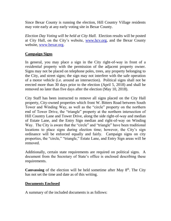Since Bexar County is running the election, Hill Country Village residents may vote early at any early voting site in Bexar County.

*Election Day Voting will be held at City Hall.* Election results will be posted at City Hall, on the City's website, [www.hcv.org,](http://www.hcv.org/) and the Bexar County website, [www.bexar.org.](http://www.bexar.org/)

#### **Campaign Signs**

In general, you may place a sign in the City right-of-way in front of a *residential* property with the permission of the adjacent property owner. Signs may not be placed on telephone poles, trees, any property belonging to the City, and street signs; the sign may not interfere with the safe operation of a motor vehicle (i.e. around an intersection). Political signs shall not be erected more than 30 days prior to the election (April 5, 2018) and shall be removed no later than five days after the election (May 10, 2018).

City Staff has been instructed to remove all signs placed on the City Hall property, City-owned properties which front W. Bitters Road between South Tower and Winding Way, as well as the "circle" property on the northern end of Tower Drive, the "triangle" property at the northern intersection of Hill Country Lane and Tower Drive, along the side right-of-way and median of Estate Lane, and the Entry Sign median and right-of-way on Winding Way. The City is aware that the "circle" and "triangle" have been traditional locations to place signs during election time; however, the City's sign ordinance will be enforced equally and fairly. Campaign signs on city properties, the "circle," "triangle," Estate Lane, and Entry Sign areas will be removed.

Additionally, certain state requirements are required on political signs. A document from the Secretary of State's office is enclosed describing these requirements.

Canvassing of the election will be held sometime after May 8<sup>th</sup>. The City has not set the time and date as of this writing.

#### **Documents Enclosed**

A summary of the included documents is as follows: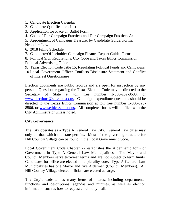- 1. Candidate Election Calendar
- 2. Candidate Qualifications List
- 3. Application for Place on Ballot Form
- 4. Code of Fair Campaign Practices and Fair Campaign Practices Act

5. Appointment of Campaign Treasurer by Candidate Guide, Forms, Nepotism Law

- 6. 2018 Filing Schedule
- 7. Candidate/Officeholder Campaign Finance Report Guide, Forms
- 8. Political Sign Regulations: City Code and Texas Ethics Commission Political Advertising Guide
- 9. Texas Election Code Title 15, Regulating Political Funds and Campaigns
- 10.Local Government Officer Conflicts Disclosure Statement and Conflict of Interest Questionnaire

Election documents are public records and are open for inspection by any person. Questions regarding the Texas Election Code may be directed to the Secretary of State at toll free number 1-800-252-8683, or [www.elections@sos.state.tx.us.](http://www.elections@sos.state.tx.us) Campaign expenditure questions should be directed to the Texas Ethics Commission at toll free number 1-800-325- 8506, or [www.ethics.state.tx.us.](http://www.ethics.state.tx.us/) All completed forms will be filed with the City Administrator unless noted.

#### **City Governance**

The City operates as a Type A General Law City. General Law cities may only do that which the state permits. Most of the governing structure for Hill Country Village can be found in the Local Government Code.

Local Government Code Chapter 22 establishes the Aldermanic form of Government in Type A General Law Municipalities. The Mayor and Council Members serve two-year terms and are not subject to term limits. Candidates for office are elected on a plurality vote. Type A General Law Municipalities has one Mayor and five Aldermen (Council Members). All Hill Country Village elected officials are elected at-large.

The City's website has many items of interest including departmental functions and descriptions, agendas and minutes, as well as election information such as how to request a ballot by mail.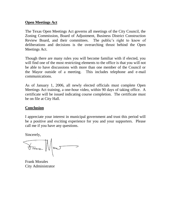#### **Open Meetings Act**

The Texas Open Meetings Act governs all meetings of the City Council, the Zoning Commission, Board of Adjustment, Business District Construction Review Board, and their committees. The public's right to know of deliberations and decisions is the overarching thrust behind the Open Meetings Act.

Though there are many rules you will become familiar with if elected, you will find one of the most restricting elements to the office is that you will not be able to have discussions with more than one member of the Council or the Mayor outside of a meeting. This includes telephone and e-mail communications.

As of January 1, 2006, all newly elected officials must complete Open Meetings Act training, a one-hour video, within 90 days of taking office. A certificate will be issued indicating course completion. The certificate must be on file at City Hall.

#### **Conclusion**

I appreciate your interest in municipal government and trust this period will be a positive and exciting experience for you and your supporters. Please call me if you have any questions.

Sincerely,

Frank MmJ

Frank Morales City Administrator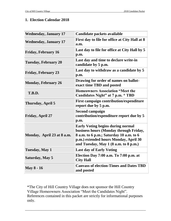#### **1. Election Calendar 2018**

| <b>Wednesday, January 17</b> | Candidate packets available                                                                                                                                                                                     |
|------------------------------|-----------------------------------------------------------------------------------------------------------------------------------------------------------------------------------------------------------------|
| <b>Wednesday, January 17</b> | First day to file for office at City Hall at 8<br>a.m.                                                                                                                                                          |
| <b>Friday, February 16</b>   | Last day to file for office at City Hall by 5<br>p.m.                                                                                                                                                           |
| <b>Tuesday, February 20</b>  | Last day and time to declare write-in<br>candidate by 5 p.m.                                                                                                                                                    |
| <b>Friday, February 23</b>   | Last day to withdraw as a candidate by 5<br>p.m.                                                                                                                                                                |
| <b>Monday, February 26</b>   | Drawing for order of names on ballot-<br>exact time TBD and posted                                                                                                                                              |
| T.B.D.                       | <b>Homeowners Association "Meet the</b><br>Candidates Night" at 7 p.m. * TBD                                                                                                                                    |
| Thursday, April 5            | <b>First campaign contribution/expenditure</b><br>report due by 5 p.m.                                                                                                                                          |
| <b>Friday, April 27</b>      | <b>Second campaign</b><br>contribution/expenditure report due by 5<br>p.m.                                                                                                                                      |
| Monday, April 23 at 8 a.m.   | <b>Early Voting begins during normal</b><br>business hours (Monday through Friday,<br>8 a.m. to 6 p.m.; Saturday 10 a.m. to 6<br>p.m.) extended hours Monday, April 30<br>and Tuesday, May 1 (8 a.m. to 8 p.m.) |
| <b>Tuesday, May 1</b>        | <b>Last day of Early Voting</b>                                                                                                                                                                                 |
| Saturday, May 5              | Election Day 7:00 a.m. To 7:00 p.m. at<br><b>City Hall</b>                                                                                                                                                      |
| <b>May 8 - 16</b>            | <b>Canvass of election-Times and Dates TBD</b><br>and posted                                                                                                                                                    |

\*The City of Hill Country Village does not sponsor the Hill Country Village Homeowners Association "Meet the Candidates Night". References contained in this packet are strictly for informational purposes only.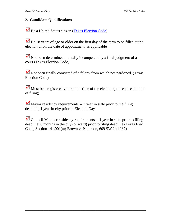# **2. Candidate Qualifications**

Be a United States citizen [\(Texas Election Code\)](http://www.ethics.state.tx.us/statutes/t15.htm)

Be 18 years of age or older on the first day of the term to be filled at the election or on the date of appointment, as applicable

Not been determined mentally incompetent by a final judgment of a court (Texas Election Code)

Not been finally convicted of a felony from which not pardoned. (Texas Election Code)

Must be a registered voter at the time of the election (not required at time of filing)

Mayor residency requirements -- 1 year in state prior to the filing deadline; 1 year in city prior to Election Day

Council Member residency requirements -- 1 year in state prior to filing deadline; 6 months in the city (or ward) prior to filing deadline (Texas Elec. Code, Section 141.001(a); Brown v. Patterson, 609 SW 2nd 287)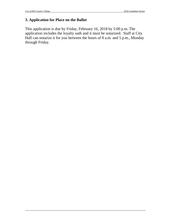# **3. Application for Place on the Ballot**

This application is due by Friday, February 16, 2018 by 5:00 p.m. The application includes the loyalty oath and it must be notarized. Staff at City Hall can notarize it for you between the hours of 8 a.m. and 5 p.m., Monday through Friday.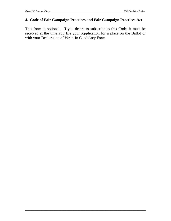#### **4. Code of Fair Campaign Practices and Fair Campaign Practices Act**

This form is optional. If you desire to subscribe to this Code, it must be received at the time you file your Application for a place on the Ballot or with your Declaration of Write-In Candidacy Form.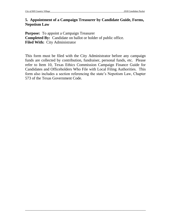#### **5. Appointment of a Campaign Treasurer by Candidate Guide, Forms, Nepotism Law**

**Purpose:** To appoint a Campaign Treasurer **Completed By:** Candidate on ballot or holder of public office. **Filed With:** City Administrator

This form must be filed with the City Administrator before any campaign funds are collected by contribution, fundraiser, personal funds, etc. Please refer to Item 10, Texas Ethics Commission Campaign Finance Guide for Candidates and Officeholders Who File with Local Filing Authorities. This form also includes a section referencing the state's Nepotism Law, Chapter 573 of the Texas Government Code.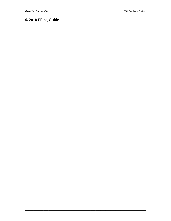# **6. 2018 Filing Guide**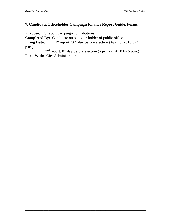#### **7. Candidate/Officeholder Campaign Finance Report Guide, Forms**

**Purpose:** To report campaign contributions

**Completed By:** Candidate on ballot or holder of public office.

**Filing Date:**  $1<sup>st</sup>$  report: 30<sup>th</sup> day before election (April 5, 2018 by 5) p.m.)

2<sup>nd</sup> report: 8<sup>th</sup> day before election (April 27, 2018 by 5 p.m.) **Filed With:** City Administrator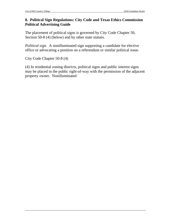### **8. Political Sign Regulations: City Code and Texas Ethics Commission Political Advertising Guide**

The placement of political signs is governed by City Code Chapter 50, Section 50-8 (4) (below) and by other state statues.

*Political sign.* A nonilluminated sign supporting a candidate for elective office or advocating a position on a referendum or similar political issue.

City Code Chapter 50-8 (4)

(4) In residential zoning districts, political signs and public interest signs may be placed in the public right-of-way with the permission of the adjacent property owner. Nonilluminated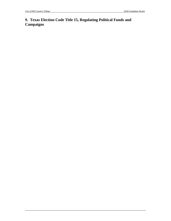# **9. Texas Election Code Title 15, Regulating Political Funds and Campaigns**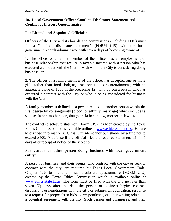## **10. Local Government Officer Conflicts Disclosure Statement** and **Conflict of Interest Questionnaire**

# **For Elected and Appointed Officials:**

Officers of the City and its boards and commissions (including EDC) must file a "conflicts disclosure statement" (FORM CIS) with the local government records administrator with seven days of becoming aware of:

1. The officer or a family member of the officer has an employment or business relationship that results in taxable income with a person who has executed a contract with the City or with whom the City is considering doing business; or

2. The officer or a family member of the officer has accepted one or more gifts (other than food, lodging, transportation, or entertainment) with an aggregate value of \$250 in the preceding 12 months from a person who has executed a contract with the City or who is being considered for business with the City.

A family member is defined as a person related to another person within the first degree by consanguinity (blood) or affinity (marriage) which includes a spouse, father, mother, son, daughter, father-in-law, mother-in-law, etc.

The conflicts disclosure statement (Form CIS) has been created by the Texas Ethics Commission and is available online at [www.ethics.state.tx.us.](http://www.ethics.state.tx.us/) Failure to disclose information is Class C misdemeanor punishable by a fine not to exceed \$500. A defense if the official files the required statement within 7 days after receipt of notice of the violation.

#### **For vendor or other person doing business with local government entity:**

A person or business, and their agents, who contract with the city or seek to contract with the city, are required by Texas Local Government Code, Chapter 176, to file a conflicts disclosure questionnaire (FORM CIQ) created by the Texas Ethics Commission which is available online at [www.ethics.state.tx.us.](http://www.ethics.state.tx.us/) The form must be filed with the city no later than seven (7) days after the date the person or business begins contract discussions or negotiations with the city, or submits an application, response to a request for proposals or bids, correspondence, or other writing related to a potential agreement with the city. Such person and businesses, and their